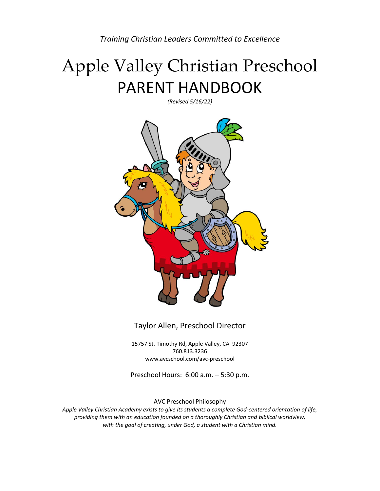*Training Christian Leaders Committed to Excellence*

# Apple Valley Christian Preschool PARENT HANDBOOK

*(Revised 5/16/22)*



Taylor Allen, Preschool Director

15757 St. Timothy Rd, Apple Valley, CA 92307 760.813.3236 www.avcschool.com/avc-preschool

Preschool Hours: 6:00 a.m. – 5:30 p.m.

AVC Preschool Philosophy

*Apple Valley Christian Academy exists to give its students a complete God-centered orientation of life, providing them with an education founded on a thoroughly Christian and biblical worldview, with the goal of creating, under God, a student with a Christian mind.*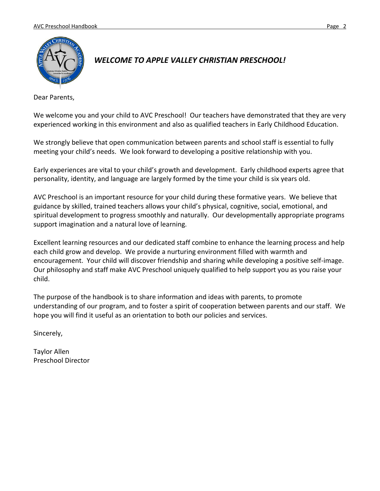

## *WELCOME TO APPLE VALLEY CHRISTIAN PRESCHOOL!*

Dear Parents,

We welcome you and your child to AVC Preschool! Our teachers have demonstrated that they are very experienced working in this environment and also as qualified teachers in Early Childhood Education.

We strongly believe that open communication between parents and school staff is essential to fully meeting your child's needs. We look forward to developing a positive relationship with you.

Early experiences are vital to your child's growth and development. Early childhood experts agree that personality, identity, and language are largely formed by the time your child is six years old.

AVC Preschool is an important resource for your child during these formative years. We believe that guidance by skilled, trained teachers allows your child's physical, cognitive, social, emotional, and spiritual development to progress smoothly and naturally. Our developmentally appropriate programs support imagination and a natural love of learning.

Excellent learning resources and our dedicated staff combine to enhance the learning process and help each child grow and develop. We provide a nurturing environment filled with warmth and encouragement. Your child will discover friendship and sharing while developing a positive self-image. Our philosophy and staff make AVC Preschool uniquely qualified to help support you as you raise your child.

The purpose of the handbook is to share information and ideas with parents, to promote understanding of our program, and to foster a spirit of cooperation between parents and our staff. We hope you will find it useful as an orientation to both our policies and services.

Sincerely,

Taylor Allen Preschool Director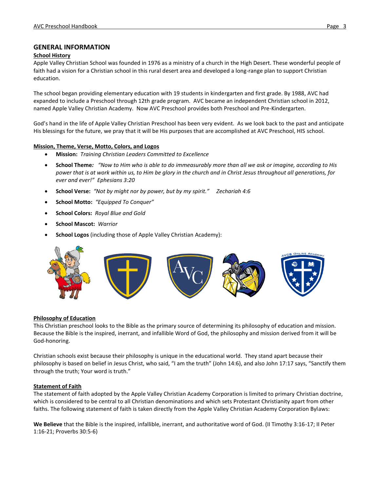## **GENERAL INFORMATION**

#### **School History**

Apple Valley Christian School was founded in 1976 as a ministry of a church in the High Desert. These wonderful people of faith had a vision for a Christian school in this rural desert area and developed a long-range plan to support Christian education.

The school began providing elementary education with 19 students in kindergarten and first grade. By 1988, AVC had expanded to include a Preschool through 12th grade program. AVC became an independent Christian school in 2012, named Apple Valley Christian Academy. Now AVC Preschool provides both Preschool and Pre-Kindergarten.

God's hand in the life of Apple Valley Christian Preschool has been very evident. As we look back to the past and anticipate His blessings for the future, we pray that it will be His purposes that are accomplished at AVC Preschool, HIS school.

#### **Mission, Theme, Verse, Motto, Colors, and Logos**

- **Mission:** *Training Christian Leaders Committed to Excellence*
- **School Theme***: "Now to Him who is able to do immeasurably more than all we ask or imagine, according to His power that is at work within us, to Him be glory in the church and in Christ Jesus throughout all generations, for ever and ever!" Ephesians 3:20*
- **School Verse:** *"Not by might nor by power, but by my spirit." Zechariah 4:6*
- **School Motto:** *"Equipped To Conquer"*
- **School Colors:** *Royal Blue and Gold*
- **School Mascot:** *Warrior*
- **School Logos** (including those of Apple Valley Christian Academy):



#### **Philosophy of Education**

This Christian preschool looks to the Bible as the primary source of determining its philosophy of education and mission. Because the Bible is the inspired, inerrant, and infallible Word of God, the philosophy and mission derived from it will be God-honoring.

Christian schools exist because their philosophy is unique in the educational world. They stand apart because their philosophy is based on belief in Jesus Christ, who said, "I am the truth" (John 14:6), and also John 17:17 says, "Sanctify them through the truth; Your word is truth."

#### **Statement of Faith**

The statement of faith adopted by the Apple Valley Christian Academy Corporation is limited to primary Christian doctrine, which is considered to be central to all Christian denominations and which sets Protestant Christianity apart from other faiths. The following statement of faith is taken directly from the Apple Valley Christian Academy Corporation Bylaws:

**We Believe** that the Bible is the inspired, infallible, inerrant, and authoritative word of God. (II Timothy 3:16-17; II Peter 1:16-21; Proverbs 30:5-6)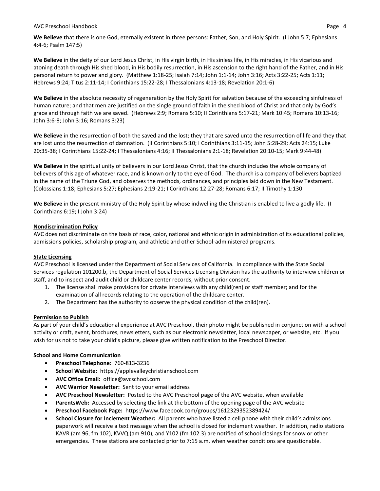**We Believe t**hat there is one God, eternally existent in three persons: Father, Son, and Holy Spirit. (I John 5:7; Ephesians 4:4-6; Psalm 147:5)

**We Believe** in the deity of our Lord Jesus Christ, in His virgin birth, in His sinless life, in His miracles, in His vicarious and atoning death through His shed blood, in His bodily resurrection, in His ascension to the right hand of the Father, and in His personal return to power and glory. (Matthew 1:18-25; Isaiah 7:14; John 1:1-14; John 3:16; Acts 3:22-25; Acts 1:11; Hebrews 9:24; Titus 2:11-14; I Corinthians 15:22-28; I Thessalonians 4:13-18; Revelation 20:1-6)

We Believe in the absolute necessity of regeneration by the Holy Spirit for salvation because of the exceeding sinfulness of human nature; and that men are justified on the single ground of faith in the shed blood of Christ and that only by God's grace and through faith we are saved. (Hebrews 2:9; Romans 5:10; II Corinthians 5:17-21; Mark 10:45; Romans 10:13-16; John 3:6-8; John 3:16; Romans 3:23)

**We Believe** in the resurrection of both the saved and the lost; they that are saved unto the resurrection of life and they that are lost unto the resurrection of damnation. (II Corinthians 5:10; I Corinthians 3:11-15; John 5:28-29; Acts 24:15; Luke 20:35-38; I Corinthians 15:22-24; I Thessalonians 4:16; II Thessalonians 2:1-18; Revelation 20:10-15; Mark 9:44-48)

**We Believe** in the spiritual unity of believers in our Lord Jesus Christ, that the church includes the whole company of believers of this age of whatever race, and is known only to the eye of God. The church is a company of believers baptized in the name of the Triune God, and observes the methods, ordinances, and principles laid down in the New Testament. (Colossians 1:18; Ephesians 5:27; Ephesians 2:19-21; I Corinthians 12:27-28; Romans 6:17; II Timothy 1:130

**We Believe** in the present ministry of the Holy Spirit by whose indwelling the Christian is enabled to live a godly life. (I Corinthians 6:19; I John 3:24)

## **Nondiscrimination Policy**

AVC does not discriminate on the basis of race, color, national and ethnic origin in administration of its educational policies, admissions policies, scholarship program, and athletic and other School-administered programs.

## **State Licensing**

AVC Preschool is licensed under the Department of Social Services of California. In compliance with the State Social Services regulation 101200.b, the Department of Social Services Licensing Division has the authority to interview children or staff, and to inspect and audit child or childcare center records, without prior consent.

- 1. The license shall make provisions for private interviews with any child(ren) or staff member; and for the examination of all records relating to the operation of the childcare center.
- 2. The Department has the authority to observe the physical condition of the child(ren).

## **Permission to Publish**

As part of your child's educational experience at AVC Preschool, their photo might be published in conjunction with a school activity or craft, event, brochures, newsletters, such as our electronic newsletter, local newspaper, or website, etc. If you wish for us not to take your child's picture, please give written notification to the Preschool Director.

## **School and Home Communication**

- **Preschool Telephone:** 760-813-3236
- **School Website:** https://applevalleychristianschool.com
- **AVC Office Email:** office@avcschool.com
- **AVC Warrior Newsletter:** Sent to your email address
- **AVC Preschool Newsletter:** Posted to the AVC Preschool page of the AVC website, when available
- **ParentsWeb:** Accessed by selecting the link at the bottom of the opening page of the AVC website
- **Preschool Facebook Page:** https://www.facebook.com/groups/1612329352389424/
- **School Closure for Inclement Weather:** All parents who have listed a cell phone with their child's admissions paperwork will receive a text message when the school is closed for inclement weather. In addition, radio stations KAVR (am 96, fm 102), KVVQ (am 910), and Y102 (fm 102.3) are notified of school closings for snow or other emergencies. These stations are contacted prior to 7:15 a.m. when weather conditions are questionable.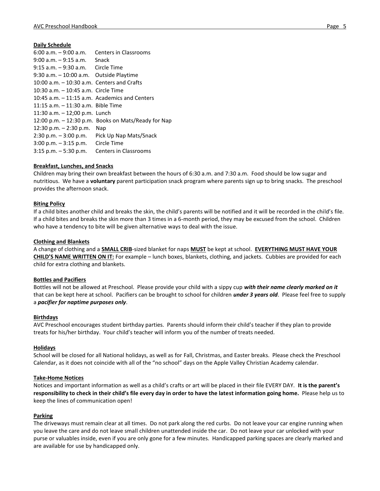## **Daily Schedule**

| $6:00$ a.m. $-9:00$ a.m.                        | Centers in Classrooms                                 |
|-------------------------------------------------|-------------------------------------------------------|
| $9:00$ a.m. $-9:15$ a.m. Snack                  |                                                       |
| 9:15 a.m. – 9:30 a.m. Circle Time               |                                                       |
| $9:30$ a.m. $-10:00$ a.m. Outside Playtime      |                                                       |
| $10:00$ a.m. $-10:30$ a.m. Centers and Crafts   |                                                       |
| 10:30 a.m. - 10:45 a.m. Circle Time             |                                                       |
| 10:45 a.m. $-$ 11:15 a.m. Academics and Centers |                                                       |
| 11:15 a.m. - 11:30 a.m. Bible Time              |                                                       |
| 11:30 a.m. $-$ 12;00 p.m. Lunch                 |                                                       |
|                                                 | 12:00 p.m. $-$ 12:30 p.m. Books on Mats/Ready for Nap |
| $12:30$ p.m. $-2:30$ p.m.                       | Nap                                                   |
|                                                 | 2:30 p.m. $-$ 3:00 p.m. Pick Up Nap Mats/Snack        |
| $3:00$ p.m. $-3:15$ p.m. Circle Time            |                                                       |
| $3:15$ p.m. $-5:30$ p.m.                        | <b>Centers in Classrooms</b>                          |

## **Breakfast, Lunches, and Snacks**

Children may bring their own breakfast between the hours of 6:30 a.m. and 7:30 a.m. Food should be low sugar and nutritious. We have a **voluntary** parent participation snack program where parents sign up to bring snacks. The preschool provides the afternoon snack.

## **Biting Policy**

If a child bites another child and breaks the skin, the child's parents will be notified and it will be recorded in the child's file. If a child bites and breaks the skin more than 3 times in a 6-month period, they may be excused from the school. Children who have a tendency to bite will be given alternative ways to deal with the issue.

## **Clothing and Blankets**

A change of clothing and a **SMALL CRIB**-sized blanket for naps **MUST** be kept at school. **EVERYTHING MUST HAVE YOUR CHILD'S NAME WRITTEN ON IT:** For example – lunch boxes, blankets, clothing, and jackets. Cubbies are provided for each child for extra clothing and blankets.

## **Bottles and Pacifiers**

Bottles will not be allowed at Preschool. Please provide your child with a sippy cup *with their name clearly marked on it* that can be kept here at school. Pacifiers can be brought to school for children *under 3 years old*. Please feel free to supply a *pacifier for naptime purposes only*.

## **Birthdays**

AVC Preschool encourages student birthday parties. Parents should inform their child's teacher if they plan to provide treats for his/her birthday. Your child's teacher will inform you of the number of treats needed.

## **Holidays**

School will be closed for all National holidays, as well as for Fall, Christmas, and Easter breaks. Please check the Preschool Calendar, as it does not coincide with all of the "no school" days on the Apple Valley Christian Academy calendar.

## **Take-Home Notices**

Notices and important information as well as a child's crafts or art will be placed in their file EVERY DAY. **It is the parent's responsibility to check in their child's file every day in order to have the latest information going home.** Please help us to keep the lines of communication open!

## **Parking**

The driveways must remain clear at all times. Do not park along the red curbs. Do not leave your car engine running when you leave the care and do not leave small children unattended inside the car. Do not leave your car unlocked with your purse or valuables inside, even if you are only gone for a few minutes. Handicapped parking spaces are clearly marked and are available for use by handicapped only.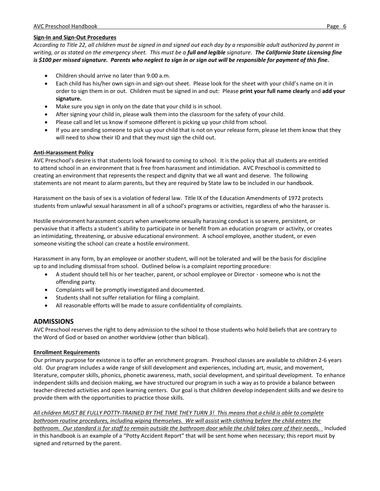## **Sign-In and Sign-Out Procedures**

*According to Title 22, all children must be signed in and signed out each day by a responsible adult authorized by parent in writing, or as stated on the emergency sheet. This must be a full and legible signature. The California State Licensing fine is \$100 per missed signature. Parents who neglect to sign in or sign out will be responsible for payment of this fine.*

- Children should arrive no later than 9:00 a.m.
- Each child has his/her own sign-in and sign-out sheet. Please look for the sheet with your child's name on it in order to sign them in or out. Children must be signed in and out: Please **print your full name clearly** and **add your signature.**
- Make sure you sign in only on the date that your child is in school.
- After signing your child in, please walk them into the classroom for the safety of your child.
- Please call and let us know if someone different is picking up your child from school.
- If you are sending someone to pick up your child that is not on your release form, please let them know that they will need to show their ID and that they must sign the child out.

## **Anti-Harassment Policy**

AVC Preschool's desire is that students look forward to coming to school. It is the policy that all students are entitled to attend school in an environment that is free from harassment and intimidation. AVC Preschool is committed to creating an environment that represents the respect and dignity that we all want and deserve. The following statements are not meant to alarm parents, but they are required by State law to be included in our handbook.

Harassment on the basis of sex is a violation of federal law. Title IX of the Education Amendments of 1972 protects students from unlawful sexual harassment in all of a school's programs or activities, regardless of who the harasser is.

Hostile environment harassment occurs when unwelcome sexually harassing conduct is so severe, persistent, or pervasive that it affects a student's ability to participate in or benefit from an education program or activity, or creates an intimidating, threatening, or abusive educational environment. A school employee, another student, or even someone visiting the school can create a hostile environment.

Harassment in any form, by an employee or another student, will not be tolerated and will be the basis for discipline up to and including dismissal from school. Outlined below is a complaint reporting procedure:

- A student should tell his or her teacher, parent, or school employee or Director someone who is not the offending party.
- Complaints will be promptly investigated and documented.
- Students shall not suffer retaliation for filing a complaint.
- All reasonable efforts will be made to assure confidentiality of complaints.

## **ADMISSIONS**

AVC Preschool reserves the right to deny admission to the school to those students who hold beliefs that are contrary to the Word of God or based on another worldview (other than biblical).

## **Enrollment Requirements**

Our primary purpose for existence is to offer an enrichment program. Preschool classes are available to children 2-6 years old. Our program includes a wide range of skill development and experiences, including art, music, and movement, literature, computer skills, phonics, phonetic awareness, math, social development, and spiritual development. To enhance independent skills and decision making, we have structured our program in such a way as to provide a balance between teacher-directed activities and open learning centers. Our goal is that children develop independent skills and we desire to provide them with the opportunities to practice those skills.

*All children MUST BE FULLY POTTY-TRAINED BY THE TIME THEY TURN 3! This means that a child is able to complete bathroom routine procedures, including wiping themselves. We will assist with clothing before the child enters the bathroom. Our standard is for staff to remain outside the bathroom door while the child takes care of their needs.* Included in this handbook is an example of a "Potty Accident Report" that will be sent home when necessary; this report must by signed and returned by the parent.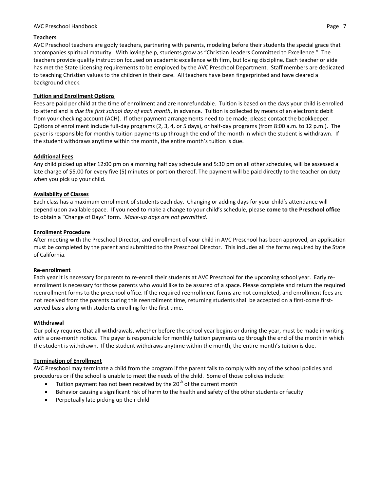#### **Teachers**

AVC Preschool teachers are godly teachers, partnering with parents, modeling before their students the special grace that accompanies spiritual maturity. With loving help, students grow as "Christian Leaders Committed to Excellence." The teachers provide quality instruction focused on academic excellence with firm, but loving discipline. Each teacher or aide has met the State Licensing requirements to be employed by the AVC Preschool Department. Staff members are dedicated to teaching Christian values to the children in their care. All teachers have been fingerprinted and have cleared a background check.

## **Tuition and Enrollment Options**

Fees are paid per child at the time of enrollment and are nonrefundable. Tuition is based on the days your child is enrolled to attend and is *due the first school day of each month*, in advance*.* Tuition is collected by means of an electronic debit from your checking account (ACH). If other payment arrangements need to be made, please contact the bookkeeper. Options of enrollment include full-day programs (2, 3, 4, or 5 days), or half-day programs (from 8:00 a.m. to 12 p.m.). The payer is responsible for monthly tuition payments up through the end of the month in which the student is withdrawn. If the student withdraws anytime within the month, the entire month's tuition is due.

#### **Additional Fees**

Any child picked up after 12:00 pm on a morning half day schedule and 5:30 pm on all other schedules, will be assessed a late charge of \$5.00 for every five (5) minutes or portion thereof. The payment will be paid directly to the teacher on duty when you pick up your child.

#### **Availability of Classes**

Each class has a maximum enrollment of students each day. Changing or adding days for your child's attendance will depend upon available space. If you need to make a change to your child's schedule, please **come to the Preschool office** to obtain a "Change of Days" form. *Make-up days are not permitted.*

#### **Enrollment Procedure**

After meeting with the Preschool Director, and enrollment of your child in AVC Preschool has been approved, an application must be completed by the parent and submitted to the Preschool Director. This includes all the forms required by the State of California.

#### **Re-enrollment**

Each year it is necessary for parents to re-enroll their students at AVC Preschool for the upcoming school year. Early reenrollment is necessary for those parents who would like to be assured of a space. Please complete and return the required reenrollment forms to the preschool office. If the required reenrollment forms are not completed, and enrollment fees are not received from the parents during this reenrollment time, returning students shall be accepted on a first-come firstserved basis along with students enrolling for the first time.

#### **Withdrawal**

Our policy requires that all withdrawals, whether before the school year begins or during the year, must be made in writing with a one-month notice. The payer is responsible for monthly tuition payments up through the end of the month in which the student is withdrawn. If the student withdraws anytime within the month, the entire month's tuition is due.

#### **Termination of Enrollment**

AVC Preschool may terminate a child from the program if the parent fails to comply with any of the school policies and procedures or if the school is unable to meet the needs of the child. Some of those policies include:

- Tuition payment has not been received by the 20<sup>th</sup> of the current month
- Behavior causing a significant risk of harm to the health and safety of the other students or faculty
- Perpetually late picking up their child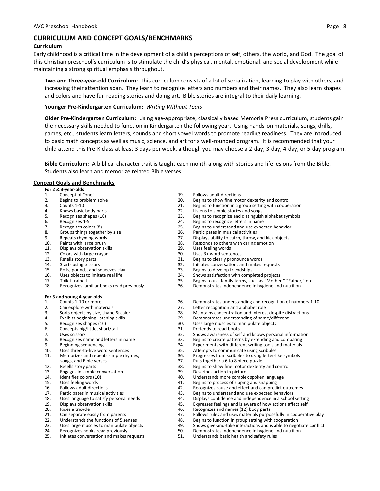## **CURRICULUM AND CONCEPT GOALS/BENCHMARKS**

#### **Curriculum**

Early childhood is a critical time in the development of a child's perceptions of self, others, the world, and God. The goal of this Christian preschool's curriculum is to stimulate the child's physical, mental, emotional, and social development while maintaining a strong spiritual emphasis throughout.

**Two and Three-year-old Curriculum:** This curriculum consists of a lot of socialization, learning to play with others, and increasing their attention span. They learn to recognize letters and numbers and their names. They also learn shapes and colors and have fun reading stories and doing art. Bible stories are integral to their daily learning.

#### **Younger Pre-Kindergarten Curriculum:** *Writing Without Tears*

**Older Pre-Kindergarten Curriculum:** Using age-appropriate, classically based Memoria Press curriculum, students gain the necessary skills needed to function in Kindergarten the following year. Using hands-on materials, songs, drills, games, etc., students learn letters, sounds and short vowel words to promote reading readiness. They are introduced to basic math concepts as well as music, science, and art for a well-rounded program. It is recommended that your child attend this Pre-K class at least 3 days per week, although you may choose a 2-day, 3-day, 4-day, or 5-day program.

**Bible Curriculum:** A biblical character trait is taught each month along with stories and life lesions from the Bible. Students also learn and memorize related Bible verses.

#### **Concept Goals and Benchmarks**

|     | For 2 & 3-year-olds                       |     |                                                                   |
|-----|-------------------------------------------|-----|-------------------------------------------------------------------|
| 1.  | Concept of "one"                          | 19. | <b>Follows adult directions</b>                                   |
| 2.  | Begins to problem solve                   | 20. | Begins to show fine motor dexterity and control                   |
| 3.  | Counts 1-10                               | 21. | Begins to function in a group setting with cooperation            |
| 4.  | Knows basic body parts                    | 22. | Listens to simple stories and songs                               |
| 5.  | Recognizes shapes (10)                    | 23. | Begins to recognize and distinguish alphabet symbols              |
| 6.  | Recognizes 1-5                            | 24. | Begins to recognize letters in name                               |
| 7.  | Recognizes colors (8)                     | 25. | Begins to understand and use expected behavior                    |
| 8.  | Groups things together by size            | 26. | Participates in musical activities                                |
| 9.  | Repeats rhyming words                     | 27. | Displays ability to catch, throw, and kick objects                |
| 10. | Paints with large brush                   | 28. | Responds to others with caring emotion                            |
| 11. | Displays observation skills               | 29. | Uses feeling words                                                |
| 12. | Colors with large crayon                  | 30. | Uses 3+ word sentences                                            |
| 13. | Retells story parts                       | 31. | Begins to clearly pronounce words                                 |
| 14. | Starts using scissors                     | 32. | Initiates conversations and makes requests                        |
| 15. | Rolls, pounds, and squeezes clay          | 33. | Begins to develop friendships                                     |
| 16. | Uses objects to imitate real life         | 34. | Shows satisfaction with completed projects                        |
| 17. | Toilet trained                            | 35. | Begins to use family terms, such as "Mother," "Father," etc.      |
| 18. | Recognizes familiar books read previously | 36. | Demonstrates independence in hygiene and nutrition                |
|     | For 3 and young 4-year-olds               |     |                                                                   |
| 1.  | Counts 1-10 or more                       | 26. | Demonstrates understanding and recognition of numbers 1-10        |
| 2.  | Can explore with materials                | 27. | Letter recognition and alphabet role                              |
| 3.  | Sorts objects by size, shape & color      | 28. | Maintains concentration and interest despite distractions         |
| 4.  | Exhibits beginning listening skills       | 29. | Demonstrates understanding of same/different                      |
| 5.  | Recognizes shapes (10)                    | 30. | Uses large muscles to manipulate objects                          |
| 6.  | Concepts big/little, short/tall           | 31. | Pretends to read books                                            |
| 7.  | Uses scissors                             | 32. | Shows awareness of self and knows personal information            |
| 8.  | Recognizes name and letters in name       | 33. | Begins to create patterns by extending and comparing              |
| 9.  | Beginning sequencing                      | 34. | Experiments with different writing tools and materials            |
| 10. | Uses three-to-five word sentences         | 35. | Attempts to communicate using scribbles                           |
| 11. | Memorizes and repeats simple rhymes,      | 36. | Progresses from scribbles to using letter-like symbols            |
|     | songs, and Bible verses                   | 37. | Puts together a 6 to 8 piece puzzle                               |
| 12. | Retells story parts                       | 38. | Begins to show fine motor dexterity and control                   |
| 13. | Engages in simple conversation            | 39. | Describes action in picture                                       |
| 14. | Identifies colors (10)                    | 40. | Understands more complex spoken language                          |
| 15. | Uses feeling words                        | 41. | Begins to process of zipping and snapping                         |
| 16. | Follows adult directions                  | 42. | Recognizes cause and effect and can predict outcomes              |
| 17. | Participates in musical activities        | 43. | Begins to understand and use expected behaviors                   |
| 18. | Uses language to satisfy personal needs   | 44. | Displays confidence and independence in a school setting          |
| 19. | Displays observation skills               | 45. | Expresses feelings and is aware of how actions affect self        |
| 20. | Rides a tricycle                          | 46. | Recognizes and names (12) body parts                              |
| 21. | Can separate easily from parents          | 47. | Follows rules and uses materials purposefully in cooperative play |
| 22. | Understands the functions of 5 senses     | 48. | Begins to function in group setting with cooperation              |
|     |                                           |     |                                                                   |

- 23. Uses large muscles to manipulate objects 49. Shows give-and-take interactions and is able to negotiate conflict<br>24. Recognizes books read previously 50. Demonstrates independence in hygiene and nutrition 24. Recognizes books read previously 50. Demonstrates independence in hygiene and nutrition
- 25. Initiates conversation and makes requests 51. Understands basic health and safety rules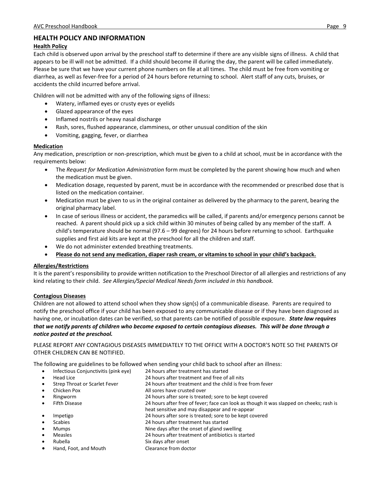## **HEALTH POLICY AND INFORMATION**

## **Health Policy**

Each child is observed upon arrival by the preschool staff to determine if there are any visible signs of illness. A child that appears to be ill will not be admitted. If a child should become ill during the day, the parent will be called immediately. Please be sure that we have your current phone numbers on file at all times. The child must be free from vomiting or diarrhea, as well as fever-free for a period of 24 hours before returning to school. Alert staff of any cuts, bruises, or accidents the child incurred before arrival.

Children will not be admitted with any of the following signs of illness:

- Watery, inflamed eyes or crusty eyes or eyelids
- Glazed appearance of the eyes
- Inflamed nostrils or heavy nasal discharge
- Rash, sores, flushed appearance, clamminess, or other unusual condition of the skin
- Vomiting, gagging, fever, or diarrhea

## **Medication**

Any medication, prescription or non-prescription, which must be given to a child at school, must be in accordance with the requirements below:

- The *Request for Medication Administration* form must be completed by the parent showing how much and when the medication must be given.
- Medication dosage, requested by parent, must be in accordance with the recommended or prescribed dose that is listed on the medication container.
- Medication must be given to us in the original container as delivered by the pharmacy to the parent, bearing the original pharmacy label.
- In case of serious illness or accident, the paramedics will be called, if parents and/or emergency persons cannot be reached. A parent should pick up a sick child within 30 minutes of being called by any member of the staff. A child's temperature should be normal (97.6 – 99 degrees) for 24 hours before returning to school. Earthquake supplies and first aid kits are kept at the preschool for all the children and staff.
- We do not administer extended breathing treatments.
- **Please do not send any medication, diaper rash cream, or vitamins to school in your child's backpack.**

## **Allergies/Restrictions**

It is the parent's responsibility to provide written notification to the Preschool Director of all allergies and restrictions of any kind relating to their child. *See Allergies/Special Medical Needs form included in this handbook.*

## **Contagious Diseases**

Children are not allowed to attend school when they show sign(s) of a communicable disease. Parents are required to notify the preschool office if your child has been exposed to any communicable disease or if they have been diagnosed as having one, or incubation dates can be verified, so that parents can be notified of possible exposure. *State law requires that we notify parents of children who become exposed to certain contagious diseases. This will be done through a notice posted at the preschool.*

PLEASE REPORT ANY CONTAGIOUS DISEASES IMMEDIATELY TO THE OFFICE WITH A DOCTOR'S NOTE SO THE PARENTS OF OTHER CHILDREN CAN BE NOTIFIED.

The following are guidelines to be followed when sending your child back to school after an illness:

• Infectious Conjunctivitis (pink eye) 24 hours after treatment has started Head Lice 24 hours after treatment and free of all nits Strep Throat or Scarlet Fever 24 hours after treatment and the child is free from fever Chicken Pox **All sores have crusted over**  Ringworm 24 hours after sore is treated; sore to be kept covered Fifth Disease 24 hours after free of fever; face can look as though it was slapped on cheeks; rash is heat sensitive and may disappear and re-appear Impetigo 24 hours after sore is treated; sore to be kept covered Scabies 24 hours after treatment has started Mumps Nine days after the onset of gland swelling Measles 24 hours after treatment of antibiotics is started Rubella Six days after onset Hand, Foot, and Mouth Clearance from doctor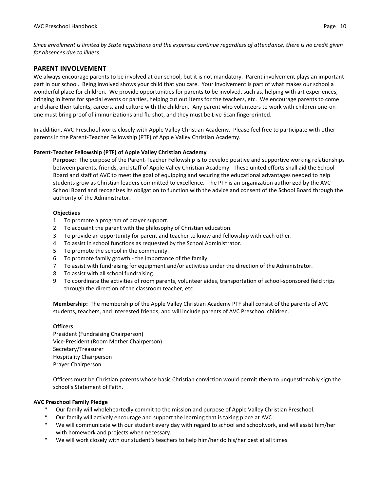*Since enrollment is limited by State regulations and the expenses continue regardless of attendance, there is no credit given for absences due to illness.*

## **PARENT INVOLVEMENT**

We always encourage parents to be involved at our school, but it is not mandatory. Parent involvement plays an important part in our school. Being involved shows your child that you care. Your involvement is part of what makes our school a wonderful place for children. We provide opportunities for parents to be involved, such as, helping with art experiences, bringing in items for special events or parties, helping cut out items for the teachers, etc. We encourage parents to come and share their talents, careers, and culture with the children. Any parent who volunteers to work with children one-onone must bring proof of immunizations and flu shot, and they must be Live-Scan fingerprinted.

In addition, AVC Preschool works closely with Apple Valley Christian Academy. Please feel free to participate with other parents in the Parent-Teacher Fellowship (PTF) of Apple Valley Christian Academy.

## **Parent-Teacher Fellowship (PTF) of Apple Valley Christian Academy**

**Purpose:** The purpose of the Parent-Teacher Fellowship is to develop positive and supportive working relationships between parents, friends, and staff of Apple Valley Christian Academy. These united efforts shall aid the School Board and staff of AVC to meet the goal of equipping and securing the educational advantages needed to help students grow as Christian leaders committed to excellence. The PTF is an organization authorized by the AVC School Board and recognizes its obligation to function with the advice and consent of the School Board through the authority of the Administrator.

## **Objectives**

- 1. To promote a program of prayer support.
- 2. To acquaint the parent with the philosophy of Christian education.
- 3. To provide an opportunity for parent and teacher to know and fellowship with each other.
- 4. To assist in school functions as requested by the School Administrator.
- 5. To promote the school in the community.
- 6. To promote family growth the importance of the family.
- 7. To assist with fundraising for equipment and/or activities under the direction of the Administrator.
- 8. To assist with all school fundraising.
- 9. To coordinate the activities of room parents, volunteer aides, transportation of school-sponsored field trips through the direction of the classroom teacher, etc.

**Membership:** The membership of the Apple Valley Christian Academy PTF shall consist of the parents of AVC students, teachers, and interested friends, and will include parents of AVC Preschool children.

## **Officers**

President (Fundraising Chairperson) Vice-President (Room Mother Chairperson) Secretary/Treasurer Hospitality Chairperson Prayer Chairperson

Officers must be Christian parents whose basic Christian conviction would permit them to unquestionably sign the school's Statement of Faith.

## **AVC Preschool Family Pledge**

- Our family will wholeheartedly commit to the mission and purpose of Apple Valley Christian Preschool.
- Our family will actively encourage and support the learning that is taking place at AVC.
- We will communicate with our student every day with regard to school and schoolwork, and will assist him/her with homework and projects when necessary.
- We will work closely with our student's teachers to help him/her do his/her best at all times.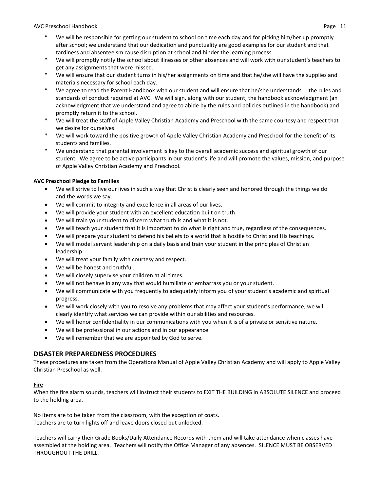- We will be responsible for getting our student to school on time each day and for picking him/her up promptly after school; we understand that our dedication and punctuality are good examples for our student and that tardiness and absenteeism cause disruption at school and hinder the learning process.
- We will promptly notify the school about illnesses or other absences and will work with our student's teachers to get any assignments that were missed.
- We will ensure that our student turns in his/her assignments on time and that he/she will have the supplies and materials necessary for school each day.
- We agree to read the Parent Handbook with our student and will ensure that he/she understands the rules and standards of conduct required at AVC. We will sign, along with our student, the handbook acknowledgment (an acknowledgment that we understand and agree to abide by the rules and policies outlined in the handbook) and promptly return it to the school.
- We will treat the staff of Apple Valley Christian Academy and Preschool with the same courtesy and respect that we desire for ourselves.
- We will work toward the positive growth of Apple Valley Christian Academy and Preschool for the benefit of its students and families.
- We understand that parental involvement is key to the overall academic success and spiritual growth of our student. We agree to be active participants in our student's life and will promote the values, mission, and purpose of Apple Valley Christian Academy and Preschool.

## **AVC Preschool Pledge to Families**

- We will strive to live our lives in such a way that Christ is clearly seen and honored through the things we do and the words we say.
- We will commit to integrity and excellence in all areas of our lives.
- We will provide your student with an excellent education built on truth.
- We will train your student to discern what truth is and what it is not.
- We will teach your student that it is important to do what is right and true, regardless of the consequences.
- We will prepare your student to defend his beliefs to a world that is hostile to Christ and His teachings.
- We will model servant leadership on a daily basis and train your student in the principles of Christian leadership.
- We will treat your family with courtesy and respect.
- We will be honest and truthful.
- We will closely supervise your children at all times.
- We will not behave in any way that would humiliate or embarrass you or your student.
- We will communicate with you frequently to adequately inform you of your student's academic and spiritual progress.
- We will work closely with you to resolve any problems that may affect your student's performance; we will clearly identify what services we can provide within our abilities and resources.
- We will honor confidentiality in our communications with you when it is of a private or sensitive nature.
- We will be professional in our actions and in our appearance.
- We will remember that we are appointed by God to serve.

## **DISASTER PREPAREDNESS PROCEDURES**

These procedures are taken from the Operations Manual of Apple Valley Christian Academy and will apply to Apple Valley Christian Preschool as well.

## **Fire**

When the fire alarm sounds, teachers will instruct their students to EXIT THE BUILDING in ABSOLUTE SILENCE and proceed to the holding area.

No items are to be taken from the classroom, with the exception of coats. Teachers are to turn lights off and leave doors closed but unlocked.

Teachers will carry their Grade Books/Daily Attendance Records with them and will take attendance when classes have assembled at the holding area. Teachers will notify the Office Manager of any absences. SILENCE MUST BE OBSERVED THROUGHOUT THE DRILL.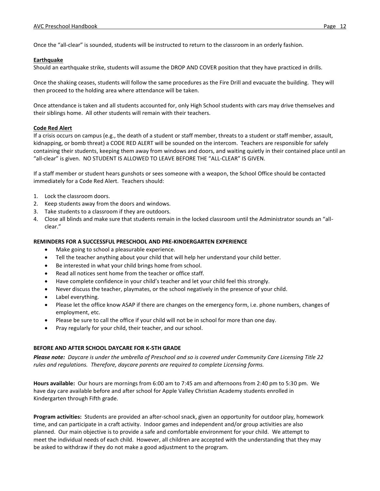Once the "all-clear" is sounded, students will be instructed to return to the classroom in an orderly fashion.

#### **Earthquake**

Should an earthquake strike, students will assume the DROP AND COVER position that they have practiced in drills.

Once the shaking ceases, students will follow the same procedures as the Fire Drill and evacuate the building. They will then proceed to the holding area where attendance will be taken.

Once attendance is taken and all students accounted for, only High School students with cars may drive themselves and their siblings home. All other students will remain with their teachers.

## **Code Red Alert**

If a crisis occurs on campus (e.g., the death of a student or staff member, threats to a student or staff member, assault, kidnapping, or bomb threat) a CODE RED ALERT will be sounded on the intercom. Teachers are responsible for safely containing their students, keeping them away from windows and doors, and waiting quietly in their contained place until an "all-clear" is given. NO STUDENT IS ALLOWED TO LEAVE BEFORE THE "ALL-CLEAR" IS GIVEN.

If a staff member or student hears gunshots or sees someone with a weapon, the School Office should be contacted immediately for a Code Red Alert. Teachers should:

- 1. Lock the classroom doors.
- 2. Keep students away from the doors and windows.
- 3. Take students to a classroom if they are outdoors.
- 4. Close all blinds and make sure that students remain in the locked classroom until the Administrator sounds an "allclear."

#### **REMINDERS FOR A SUCCESSFUL PRESCHOOL AND PRE-KINDERGARTEN EXPERIENCE**

- Make going to school a pleasurable experience.
- Tell the teacher anything about your child that will help her understand your child better.
- Be interested in what your child brings home from school.
- Read all notices sent home from the teacher or office staff.
- Have complete confidence in your child's teacher and let your child feel this strongly.
- Never discuss the teacher, playmates, or the school negatively in the presence of your child.
- Label everything.
- Please let the office know ASAP if there are changes on the emergency form, i.e. phone numbers, changes of employment, etc.
- Please be sure to call the office if your child will not be in school for more than one day.
- Pray regularly for your child, their teacher, and our school.

## **BEFORE AND AFTER SCHOOL DAYCARE FOR K-5TH GRADE**

*Please note: Daycare is under the umbrella of Preschool and so is covered under Community Care Licensing Title 22 rules and regulations. Therefore, daycare parents are required to complete Licensing forms.*

**Hours available:** Our hours are mornings from 6:00 am to 7:45 am and afternoons from 2:40 pm to 5:30 pm. We have day care available before and after school for Apple Valley Christian Academy students enrolled in Kindergarten through Fifth grade.

**Program activities:** Students are provided an after-school snack, given an opportunity for outdoor play, homework time, and can participate in a craft activity. Indoor games and independent and/or group activities are also planned. Our main objective is to provide a safe and comfortable environment for your child. We attempt to meet the individual needs of each child. However, all children are accepted with the understanding that they may be asked to withdraw if they do not make a good adjustment to the program.